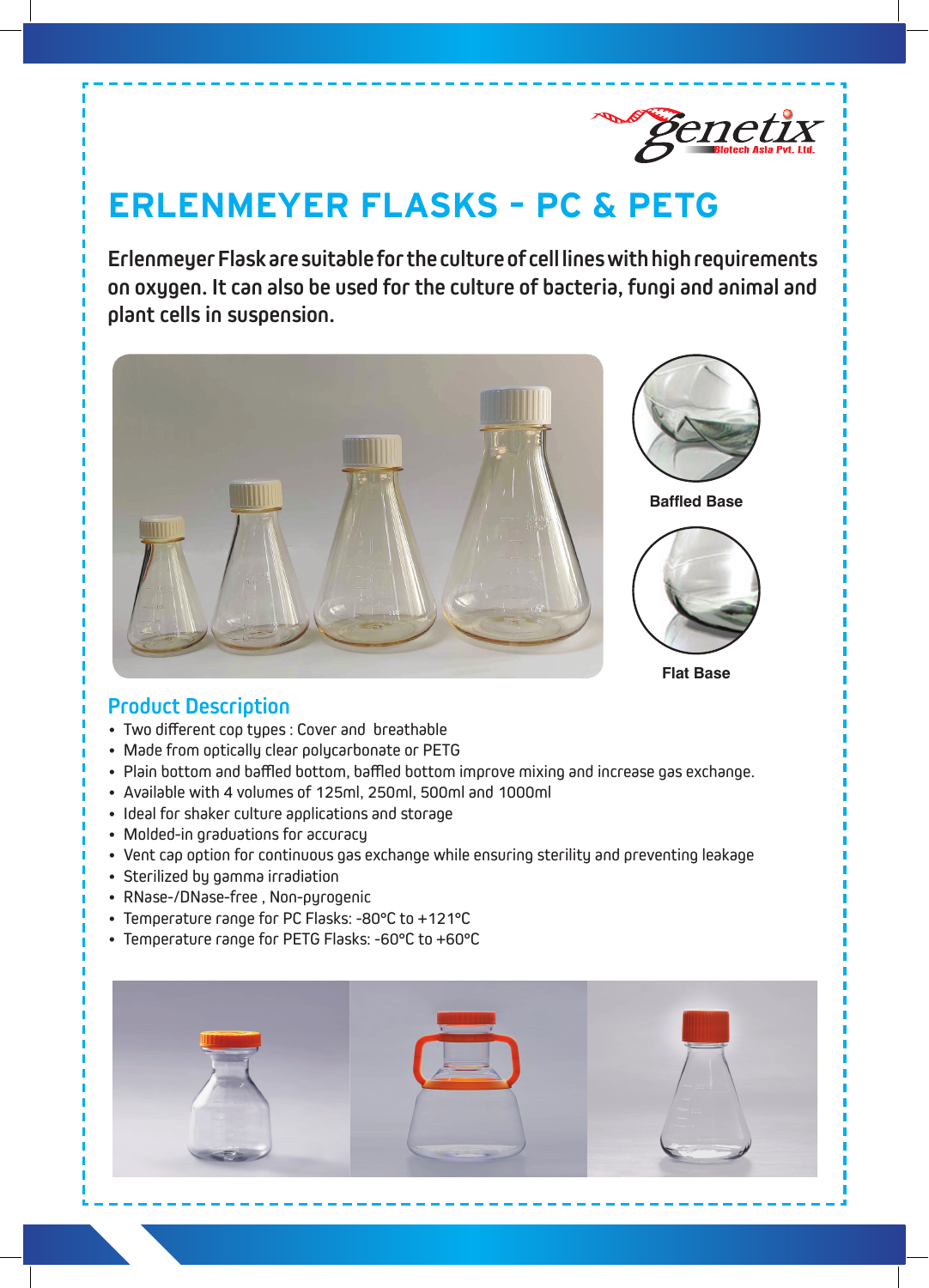

## **ERLENMEYER FLASKS – PC & PETG**

**Erlenmeyer Flask are suitable for the culture of cell lines with high requirements on oxygen. It can also be used for the culture of bacteria, fungi and animal and plant cells in suspension.**



## **Product Description**

- Two different cop types : Cover and breathable
- Made from optically clear polycarbonate or PETG
- Plain bottom and baffled bottom, baffled bottom improve mixing and increase gas exchange.
- • Available with 4 volumes of 125ml, 250ml, 500ml and 1000ml
- Ideal for shaker culture applications and storage
- Molded-in graduations for accuracy
- Vent cap option for continuous gas exchange while ensuring sterility and preventing leakage
- Sterilized by gamma irradiation
- RNase-/DNase-free, Non-pyrogenic
- Temperature range for PC Flasks: -80°C to +121°C
- Temperature range for PETG Flasks: -60°C to +60°C